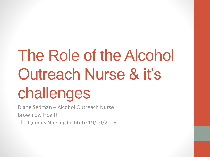# The Role of the Alcohol Outreach Nurse & it's challenges

Diane Sedman – Alcohol Outreach Nurse Brownlow Health The Queens Nursing Institute 19/10/2016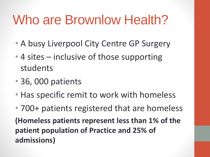# Who are Brownlow Health?

- A busy Liverpool City Centre GP Surgery
- 4 sites inclusive of those supporting students
- 36, 000 patients
- Has specific remit to work with homeless
- 700+ patients registered that are homeless **(Homeless patients represent less than 1% of the patient population of Practice and 25% of admissions)**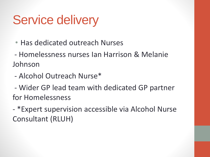# Service delivery

- Has dedicated outreach Nurses
- Homelessness nurses Ian Harrison & Melanie Johnson
- Alcohol Outreach Nurse\*
- Wider GP lead team with dedicated GP partner for Homelessness
- \*Expert supervision accessible via Alcohol Nurse Consultant (RLUH)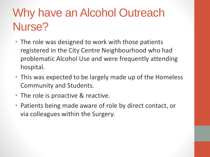## Why have an Alcohol Outreach Nurse?

- The role was designed to work with those patients registered in the City Centre Neighbourhood who had problematic Alcohol Use and were frequently attending hospital.
- This was expected to be largely made up of the Homeless Community and Students.
- The role is proactive & reactive.
- Patients being made aware of role by direct contact, or via colleagues within the Surgery.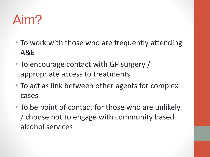# Aim?

- To work with those who are frequently attending A&E
- To encourage contact with GP surgery / appropriate access to treatments
- To act as link between other agents for complex cases
- To be point of contact for those who are unlikely / choose not to engage with community based alcohol services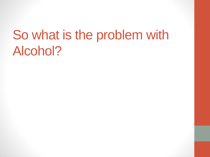# So what is the problem with Alcohol?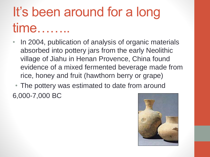# It's been around for a long time

- In 2004, publication of analysis of organic materials absorbed into pottery jars from the early Neolithic village of Jiahu in Henan Provence, China found evidence of a mixed fermented beverage made from rice, honey and fruit (hawthorn berry or grape)
- The pottery was estimated to date from around 6,000-7,000 BC

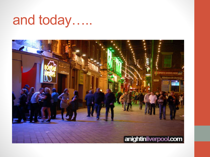# and today…..

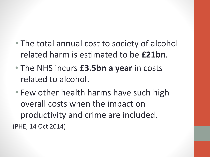- The total annual cost to society of alcoholrelated harm is estimated to be **£21bn**.
- The NHS incurs **£3.5bn a year** in costs related to alcohol.
- Few other health harms have such high overall costs when the impact on productivity and crime are included. (PHE, 14 Oct 2014)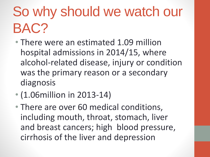# So why should we watch our BAC?

- There were an estimated 1.09 million hospital admissions in 2014/15, where alcohol-related disease, injury or condition was the primary reason or a secondary diagnosis
- (1.06 million in 2013-14)
- There are over 60 medical conditions, including mouth, throat, stomach, liver and breast cancers; high blood pressure, cirrhosis of the liver and depression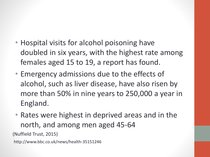- Hospital visits for alcohol poisoning have doubled in six years, with the highest rate among females aged 15 to 19, a report has found.
- Emergency admissions due to the effects of alcohol, such as liver disease, have also risen by more than 50% in nine years to 250,000 a year in England.
- Rates were highest in deprived areas and in the north, and among men aged 45-64

(Nuffield Trust, 2015)

http://www.bbc.co.uk/news/health-35151246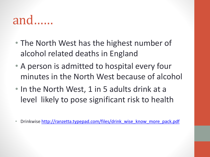## and……

- The North West has the highest number of alcohol related deaths in England
- A person is admitted to hospital every four minutes in the North West because of alcohol
- In the North West, 1 in 5 adults drink at a level likely to pose significant risk to health
- Drinkwise [http://ranzetta.typepad.com/files/drink\\_wise\\_know\\_more\\_pack.pdf](http://ranzetta.typepad.com/files/drink_wise_know_more_pack.pdf)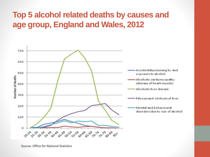#### **Top 5 alcohol related deaths by causes and age group, England and Wales, 2012**



Source: Office for National Statistics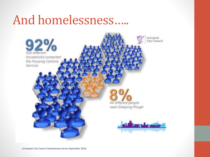## And homelessness…..



*(Liverpool City Council homelessness forum September 2016)*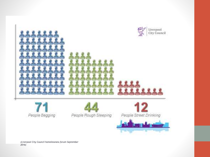

*(Liverpool City Council homelessness forum September 2016)*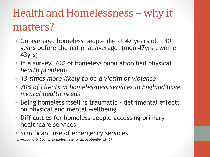### Health and Homelessness – why it matters?

- On average, homeless people die at 47 years old; 30 years before the national average (men 47yrs ; women 43yrs)
- In a survey, 70% of homeless population had physical *health problems*
- *13 times more likely to be a victim of violence*
- *70% of clients in homelessness services in England have mental health needs*
- Being homeless itself is traumatic detrimental effects on physical and mental wellbeing
- Difficulties for homeless people accessing primary healthcare services
- Significant use of emergency services

*(Liverpool City Council homelessness forum September 2016)*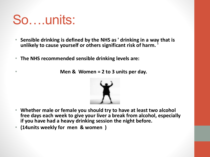# So….units:

- **Sensible drinking is defined by the NHS as ' drinking in a way that is unlikely to cause yourself or others significant risk of harm. '**
- **The NHS recommended sensible drinking levels are:**

• **Men & Women = 2 to 3 units per day.**



- **Whether male or female you should try to have at least two alcohol free days each week to give your liver a break from alcohol, especially if you have had a heavy drinking session the night before.**
- **(14units weekly for men & women )**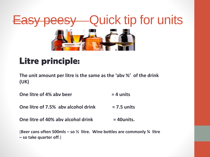

#### Litre principle:

**The unit amount per litre is the same as the 'abv %' of the drink (UK)**

**One litre of 4% abv beer = 4 units**

**One litre of 7.5% abv alcohol drink = 7.5 units** 

**One litre of 40% abv alcohol drink**  $= 40$ **units.** 

(**Beer cans often 500mls – so ½ litre. Wine bottles are commonly ¾ litre – so take quarter off**.)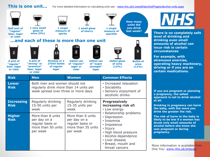#### **This is one unit...**

per week

For more detailed information on calculating units see - [www.nhs.uk/Livewell/alcohol/Pages/alcohol-units.aspx](http://www.nhs.uk/Livewell/alcohol/Pages/alcohol-units.aspx)

• High blood pressure • Alcohol dependence

• Breast, mouth and throat cancers

• Liver disease



per week

**NEA There is no completely safe** 

**level of drinking and drinking even small amounts of alcohol can incur risk in certain circumstances** 

**For example, with strenuous exercise, operating heavy machinery, driving or if you are on certain medications.**

**If you are pregnant or planning a pregnancy, the safest approach is not to drink alcohol** 

**Drinking in pregnancy can harm the baby, with the more you drink the greater the risk.**

**The risk of harm to the baby is likely to be low if a woman has drunk only small amounts of alcohol before she knew she was pregnant or during pregnancy.**

More information is available from One You: [www.nhs.uk/oneyou](http://www.nhs.uk/oneyou)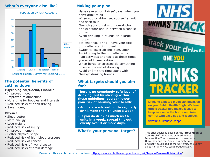#### **What's everyone else like?**



#### **The potential benefits of cutting down**

#### **Psychological/Social/Financial**

- Improved mood
- Improved relationships
- More time for hobbies and interests
- Reduced risks of drink driving
- Save money

#### **Physical**

- Sleep better
- More energy
- Lose weight
- Reduced risk of injury
- Improved memory
- Better physical shape
- Reduced risk of high blood pressure
- Reduced risk of cancer
- Reduced risks of liver disease
- Reduced risks of brain damage

#### **Making your plan**

- Have several 'drink-free' days, when you don't drink at all
- When you do drink, set yourself a limit and stick to it
- Quench your thirst with non-alcohol drinks before and in-between alcoholic drinks
- Avoid drinking in rounds or in large groups
- Eat when you drink have your first drink after starting to eat
- Switch to lower alcohol beer/lager
- Avoid going to the pub after work
- Plan activities and tasks at those times you would usually drink
- When bored or stressed do something physical instead of drinking
- Avoid or limit the time spent with "heavy" drinking friends

#### **What targets should you aim for?**

**There is no completely safe level of drinking, but by sticking within these guidelines, you can lower your risk of harming your health:**

- **Adults are advised not to regularly drink more than 14 units a week**
- **If you do drink as much as 14 units in a week, spread this out evenly over 3 or more days.**

#### **What's your personal target?**



DRINK **TRACKER** 

**Drinking a bit too much can sneak up on you. Public Health England's free drinks tracker app makes it easy to keep an eye on the booze and take control with daily tips and feedback**

[www.nhs.uk/oneyou/apps](http://www.nhs.uk/oneyou/apps).

This brief advice is based on the "**How Much Is Too Much?"** Simple Structured Advice Intervention Tool, developed by Newcastle University and the Drink Less materials originally developed at the University of Sydney as part of a W.H.O. collaborative study.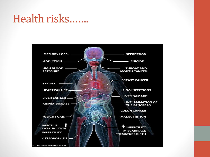#### Health risks…….

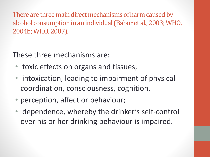There are three main direct mechanisms of harm caused by alcohol consumption in an individual (Babor et al., 2003; WHO, 2004b; WHO, 2007).

These three mechanisms are:

- toxic effects on organs and tissues;
- intoxication, leading to impairment of physical coordination, consciousness, cognition,
- perception, affect or behaviour;
- dependence, whereby the drinker's self-control over his or her drinking behaviour is impaired.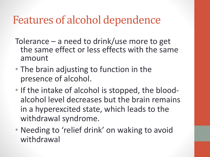### Features of alcohol dependence

- Tolerance a need to drink/use more to get the same effect or less effects with the same amount
- The brain adjusting to function in the presence of alcohol.
- If the intake of alcohol is stopped, the bloodalcohol level decreases but the brain remains in a hyperexcited state, which leads to the withdrawal syndrome.
- Needing to 'relief drink' on waking to avoid withdrawal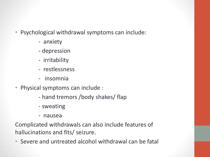- Psychological withdrawal symptoms can include:
	- anxiety
	- depression
	- irritability
	- restlessness
	- insomnia
- Physical symptoms can include :
	- hand tremors /body shakes/ flap
	- sweating
	- nausea

Complicated withdrawals can also include features of hallucinations and fits/ seizure.

• Severe and untreated alcohol withdrawal can be fatal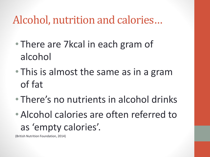### Alcohol, nutrition and calories…

- There are 7 kcal in each gram of alcohol
- This is almost the same as in a gram of fat
- There's no nutrients in alcohol drinks
- Alcohol calories are often referred to as 'empty calories'.

(British Nutrition Foundation, 2014)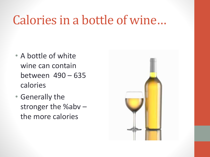## Calories in a bottle of wine…

- A bottle of white wine can contain between 490 – 635 calories
- Generally the stronger the %abv – the more calories

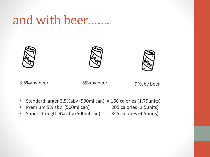### and with beer…….







3.5%abv beer 5%abv beer 9%abv beer

- Standard larger 3.5%abv (500ml can) = 160 calories (1.75units)
- Premium 5% abv  $(500 \text{ml can})$  = 205 calories  $(2.5 \text{units})$
- Super strength 9% abv (500ml can) = 345 calories (4.5units)
-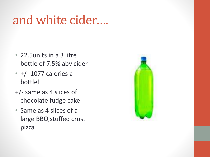## and white cider….

- 22.5units in a 3 litre bottle of 7.5% abv cider
- +/- 1077 calories a bottle!
- +/- same as 4 slices of chocolate fudge cake
- Same as 4 slices of a large BBQ stuffed crust pizza

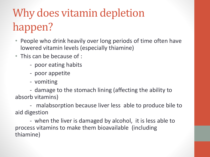## Why does vitamin depletion happen?

- People who drink heavily over long periods of time often have lowered vitamin levels (especially thiamine)
- This can be because of :
	- poor eating habits
	- poor appetite
	- vomiting

- damage to the stomach lining (affecting the ability to absorb vitamins)

- malabsorption because liver less able to produce bile to aid digestion

- when the liver is damaged by alcohol, it is less able to process vitamins to make them bioavailable (including thiamine)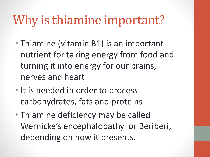## Why is thiamine important?

- Thiamine (vitamin B1) is an important nutrient for taking energy from food and turning it into energy for our brains, nerves and heart
- It is needed in order to process carbohydrates, fats and proteins
- Thiamine deficiency may be called Wernicke's encephalopathy or Beriberi, depending on how it presents.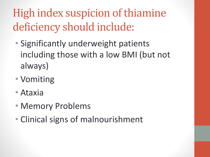## High index suspicion of thiamine deficiency should include:

- Significantly underweight patients including those with a low BMI (but not always)
- Vomiting
- Ataxia
- Memory Problems
- Clinical signs of malnourishment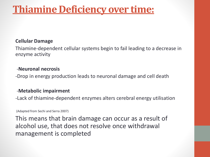#### **Thiamine Deficiency over time:**

#### **Cellular Damage**

Thiamine-dependent cellular systems begin to fail leading to a decrease in enzyme activity

#### -**Neuronal necrosis**

-Drop in energy production leads to neuronal damage and cell death

#### -**Metabolic impairment**

-Lack of thiamine-dependent enzymes alters cerebral energy utilisation

(Adapted from Sechi and Serra 2007)

This means that brain damage can occur as a result of alcohol use, that does not resolve once withdrawal management is completed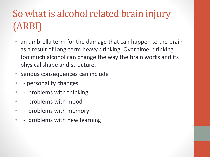### So what is alcohol related brain injury (ARBI)

- an umbrella term for the damage that can happen to the brain as a result of long-term heavy drinking. Over time, drinking too much alcohol can change the way the brain works and its physical shape and structure.
- Serious consequences can include
- - personality changes
- - problems with thinking
- - problems with mood
- - problems with memory
- - problems with new learning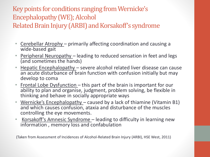#### Key points for conditions ranging from Wernicke's Encephalopathy (WE); Alcohol

Related Brain Injury (ARBI) and Korsakoff's syndrome

- Cerebellar Atrophy primarily affecting coordination and causing a wide-based gait
- Peripheral Neuropathy leading to reduced sensation in feet and legs (and sometimes the hands)
- Hepatic Encephalopathy severe alcohol related liver disease can cause an acute disturbance of brain function with confusion initially but may develop to coma
- Frontal Lobe Dysfunction this part of the brain is important for our ability to plan and organise, judgment, problem solving, be flexible in thinking and behave in socially appropriate ways
- Wernicke's Encephalopathy caused by a lack of thiamine (Vitamin B1) and which causes confusion, ataxia and disturbance of the muscles controlling the eye movements.
- Korsakoff's Amnesic Syndrome leading to difficulty in learning new information , memory loss and confabulation

(Taken from Assessment of Incidences of Alcohol-Related Brain Injury (ARBI), HSE West, 2011)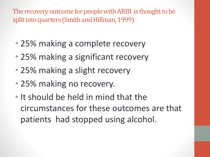The recovery outcome for people with ARBI is thought to be split into quarters (Smith and Hillman, 1999)

- 25% making a complete recovery
- 25% making a significant recovery
- 25% making a slight recovery
- 25% making no recovery.
- It should be held in mind that the circumstances for these outcomes are that patients had stopped using alcohol.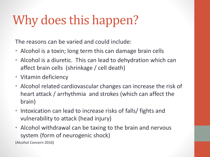# Why does this happen?

The reasons can be varied and could include:

- Alcohol is a toxin; long term this can damage brain cells
- Alcohol is a diuretic. This can lead to dehydration which can affect brain cells (shrinkage / cell death)
- Vitamin deficiency
- Alcohol related cardiovascular changes can increase the risk of heart attack / arrhythmia and strokes (which can affect the brain)
- Intoxication can lead to increase risks of falls/ fights and vulnerability to attack (head injury)
- Alcohol withdrawal can be taxing to the brain and nervous system (form of neurogenic shock)

(Alcohol Concern 2016)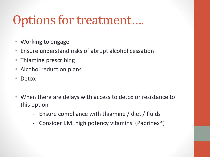## Options for treatment….

- Working to engage
- Ensure understand risks of abrupt alcohol cessation
- Thiamine prescribing
- Alcohol reduction plans
- Detox
- When there are delays with access to detox or resistance to this option
	- Ensure compliance with thiamine / diet / fluids
	- Consider I.M. high potency vitamins (Pabrinex®)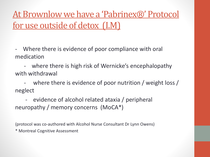At Brownlow we have a 'Pabrinex®' Protocol for use outside of detox (I.M)

- Where there is evidence of poor compliance with oral medication

- where there is high risk of Wernicke's encephalopathy with withdrawal

- where there is evidence of poor nutrition / weight loss / neglect

- evidence of alcohol related ataxia / peripheral neuropathy / memory concerns (MoCA\*)

(protocol was co-authored with Alcohol Nurse Consultant Dr Lynn Owens) \* Montreal Cognitive Assessment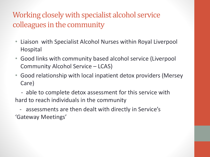#### Working closely with specialist alcohol service colleagues in the community

- Liaison with Specialist Alcohol Nurses within Royal Liverpool Hospital
- Good links with community based alcohol service (Liverpool Community Alcohol Service – LCAS)
- Good relationship with local inpatient detox providers (Mersey Care)
- able to complete detox assessment for this service with hard to reach individuals in the community
- assessments are then dealt with directly in Service's 'Gateway Meetings'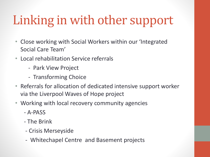# Linking in with other support

- Close working with Social Workers within our 'Integrated Social Care Team'
- Local rehabilitation Service referrals
	- Park View Project
	- Transforming Choice
- Referrals for allocation of dedicated intensive support worker via the Liverpool Waves of Hope project
- Working with local recovery community agencies
	- A-PASS
	- The Brink
	- Crisis Merseyside
	- Whitechapel Centre and Basement projects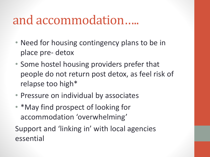### and accommodation…..

- Need for housing contingency plans to be in place pre- detox
- Some hostel housing providers prefer that people do not return post detox, as feel risk of relapse too high\*
- Pressure on individual by associates
- \*May find prospect of looking for accommodation 'overwhelming'

Support and 'linking in' with local agencies essential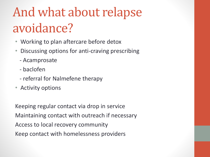# And what about relapse avoidance?

- Working to plan aftercare before detox
- Discussing options for anti-craving prescribing
	- Acamprosate
	- baclofen
	- referral for Nalmefene therapy
- Activity options

Keeping regular contact via drop in service Maintaining contact with outreach if necessary Access to local recovery community Keep contact with homelessness providers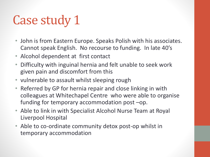# Case study 1

- John is from Eastern Europe. Speaks Polish with his associates. Cannot speak English. No recourse to funding. In late 40's
- Alcohol dependent at first contact
- Difficulty with inguinal hernia and felt unable to seek work given pain and discomfort from this
- vulnerable to assault whilst sleeping rough
- Referred by GP for hernia repair and close linking in with colleagues at Whitechapel Centre who were able to organise funding for temporary accommodation post –op.
- Able to link in with Specialist Alcohol Nurse Team at Royal Liverpool Hospital
- Able to co-ordinate community detox post-op whilst in temporary accommodation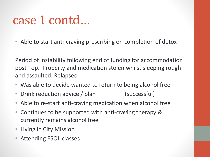### case 1 contd…

• Able to start anti-craving prescribing on completion of detox

Period of instability following end of funding for accommodation post –op. Property and medication stolen whilst sleeping rough and assaulted. Relapsed

- Was able to decide wanted to return to being alcohol free
- Drink reduction advice / plan (successful)
- Able to re-start anti-craving medication when alcohol free
- Continues to be supported with anti-craving therapy & currently remains alcohol free
- Living in City Mission
- Attending ESOL classes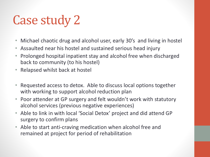# Case study 2

- Michael chaotic drug and alcohol user, early 30's and living in hostel
- Assaulted near his hostel and sustained serious head injury
- Prolonged hospital inpatient stay and alcohol free when discharged back to community (to his hostel)
- Relapsed whilst back at hostel
- Requested access to detox. Able to discuss local options together with working to support alcohol reduction plan
- Poor attender at GP surgery and felt wouldn't work with statutory alcohol services (previous negative experiences)
- Able to link in with local 'Social Detox' project and did attend GP surgery to confirm plans
- Able to start anti-craving medication when alcohol free and remained at project for period of rehabilitation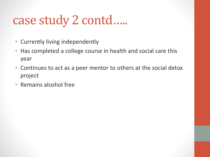## case study 2 contd…..

- Currently living independently
- Has completed a college course in health and social care this year
- Continues to act as a peer mentor to others at the social detox project
- Remains alcohol free